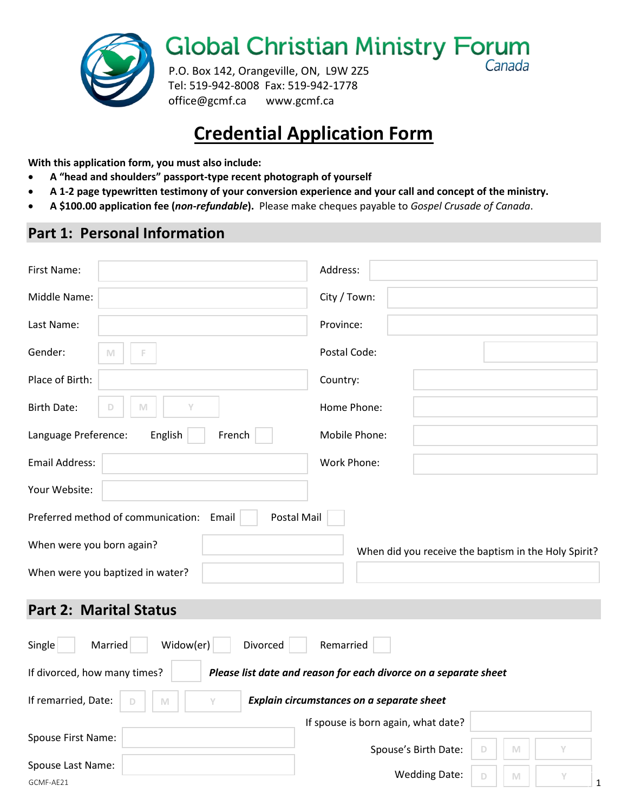

**Global Christian Ministry Forum** Canada

P.O. Box 142, Orangeville, ON, L9W 2Z5 Tel: 519-942-8008 Fax: 519-942-1778 office@gcmf.ca www.gcmf.ca

## **Credential Application Form**

**With this application form, you must also include:**

- **A "head and shoulders" passport-type recent photograph of yourself**
- **A 1-2 page typewritten testimony of your conversion experience and your call and concept of the ministry.**
- **A \$100.00 application fee (***non-refundable***).** Please make cheques payable to *Gospel Crusade of Canada*.

### **Part 1: Personal Information**

| First Name:                                                                                      | Address:                                                      |  |  |  |  |
|--------------------------------------------------------------------------------------------------|---------------------------------------------------------------|--|--|--|--|
| Middle Name:                                                                                     | City / Town:                                                  |  |  |  |  |
| Last Name:                                                                                       | Province:                                                     |  |  |  |  |
| Gender:<br>M                                                                                     | Postal Code:                                                  |  |  |  |  |
| Place of Birth:                                                                                  | Country:                                                      |  |  |  |  |
| <b>Birth Date:</b><br>Y<br>M<br>D                                                                | Home Phone:                                                   |  |  |  |  |
| English<br>French<br>Language Preference:                                                        | Mobile Phone:                                                 |  |  |  |  |
| <b>Email Address:</b>                                                                            | Work Phone:                                                   |  |  |  |  |
| Your Website:                                                                                    |                                                               |  |  |  |  |
| Preferred method of communication: Email<br>Postal Mail                                          |                                                               |  |  |  |  |
| When were you born again?                                                                        | When did you receive the baptism in the Holy Spirit?          |  |  |  |  |
| When were you baptized in water?                                                                 |                                                               |  |  |  |  |
| <b>Part 2: Marital Status</b>                                                                    |                                                               |  |  |  |  |
| Married<br>Widow(er)<br>Divorced<br>Remarried<br>Single                                          |                                                               |  |  |  |  |
| If divorced, how many times?<br>Please list date and reason for each divorce on a separate sheet |                                                               |  |  |  |  |
| If remarried, Date:<br>Y<br>M                                                                    | Explain circumstances on a separate sheet                     |  |  |  |  |
|                                                                                                  | If spouse is born again, what date?                           |  |  |  |  |
| Spouse First Name:                                                                               | Spouse's Birth Date:<br>Y<br>M<br>D                           |  |  |  |  |
| Spouse Last Name:<br>GCMF-AE21                                                                   | <b>Wedding Date:</b><br>$\mathsf D$<br>M<br>Υ<br>$\mathbf{1}$ |  |  |  |  |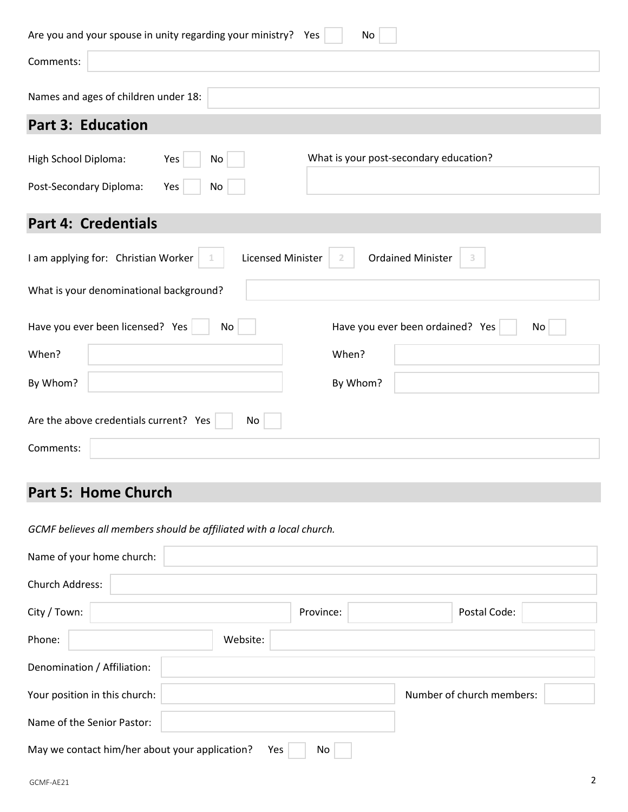| Are you and your spouse in unity regarding your ministry? Yes        | No                                     |
|----------------------------------------------------------------------|----------------------------------------|
| Comments:                                                            |                                        |
| Names and ages of children under 18:                                 |                                        |
| <b>Part 3: Education</b>                                             |                                        |
| High School Diploma:<br>Yes<br>No                                    | What is your post-secondary education? |
| Post-Secondary Diploma:<br>Yes<br>No                                 |                                        |
| <b>Part 4: Credentials</b>                                           |                                        |
| I am applying for: Christian Worker<br><b>Licensed Minister</b><br>1 | <b>Ordained Minister</b><br>3<br>2     |
| What is your denominational background?                              |                                        |
| Have you ever been licensed? Yes<br>No                               | Have you ever been ordained? Yes<br>No |
| When?                                                                | When?                                  |
| By Whom?                                                             | By Whom?                               |
| Are the above credentials current? Yes<br>No                         |                                        |
| Comments:                                                            |                                        |

## **Part 5: Home Church**

*GCMF believes all members should be affiliated with a local church.* 

| Name of your home church:                             |           |                           |
|-------------------------------------------------------|-----------|---------------------------|
| Church Address:                                       |           |                           |
| City / Town:                                          | Province: | Postal Code:              |
| Phone:<br>Website:                                    |           |                           |
| Denomination / Affiliation:                           |           |                           |
| Your position in this church:                         |           | Number of church members: |
| Name of the Senior Pastor:                            |           |                           |
| May we contact him/her about your application?<br>Yes | No.       |                           |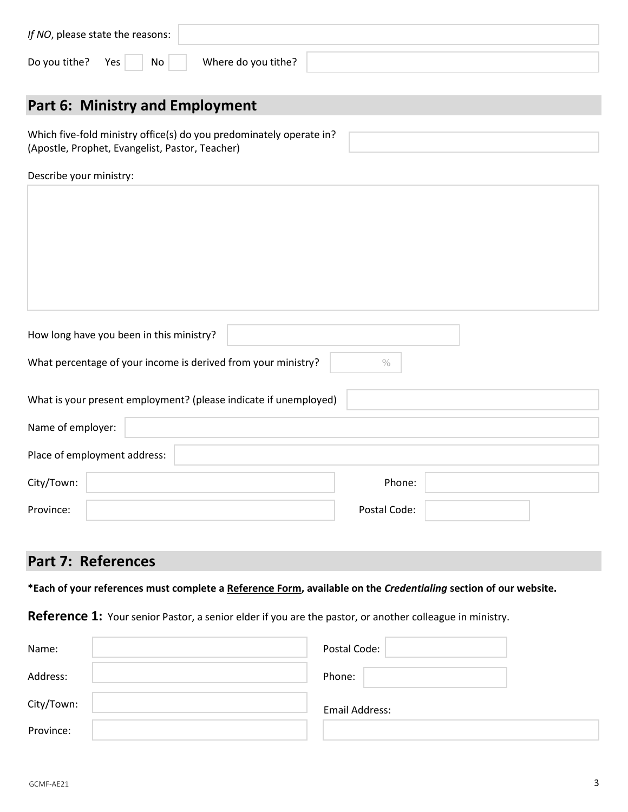| If NO, please state the reasons: |                     |  |
|----------------------------------|---------------------|--|
| Do you tithe? Yes<br>No          | Where do you tithe? |  |

## **Part 6: Ministry and Employment**

Which five-fold ministry office(s) do you predominately operate in? (Apostle, Prophet, Evangelist, Pastor, Teacher)

Describe your ministry:

| How long have you been in this ministry?                      |  |
|---------------------------------------------------------------|--|
| What percentage of your income is derived from your ministry? |  |

| What is your present employment? (please indicate if unemployed) |              |  |
|------------------------------------------------------------------|--------------|--|
| Name of employer:                                                |              |  |
| Place of employment address:                                     |              |  |
| City/Town:                                                       | Phone:       |  |
| Province:                                                        | Postal Code: |  |

### **Part 7: References**

**\*Each of your references must complete a Reference Form, available on the** *Credentialing* **section of our website.**

**Reference 1:** Your senior Pastor, a senior elder if you are the pastor, or another colleague in ministry.

| Name:      | Postal Code:   |
|------------|----------------|
| Address:   | Phone:         |
| City/Town: | Email Address: |
| Province:  |                |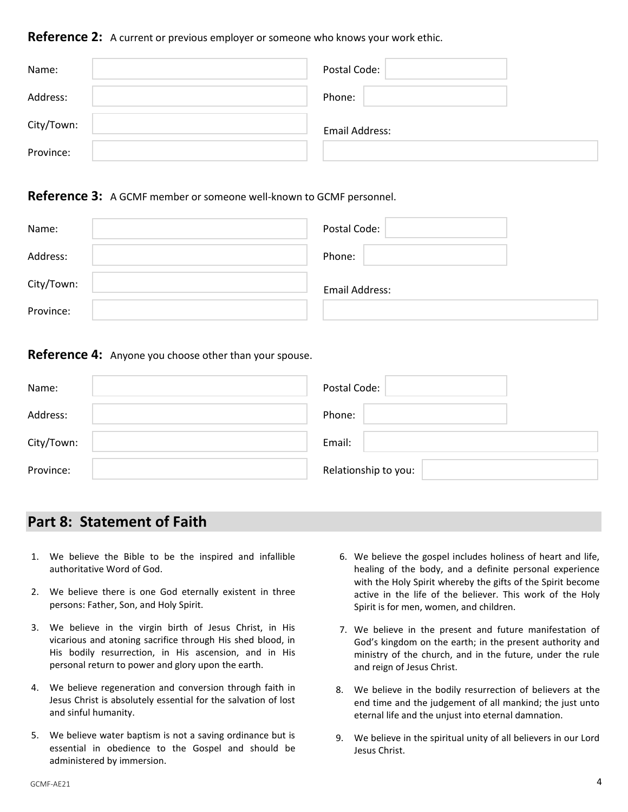**Reference 2:** A current or previous employer or someone who knows your work ethic.

| Name:      | Postal Code:   |
|------------|----------------|
| Address:   | Phone:         |
| City/Town: | Email Address: |
| Province:  |                |

### **Reference 3:** A GCMF member or someone well-known to GCMF personnel.

| Name:      | Postal Code:   |
|------------|----------------|
| Address:   | Phone:         |
| City/Town: | Email Address: |
| Province:  |                |

#### **Reference 4:** Anyone you choose other than your spouse.

| Name:      | Postal Code:         |
|------------|----------------------|
| Address:   | Phone:               |
| City/Town: | Email:               |
| Province:  | Relationship to you: |

### **Part 8: Statement of Faith**

- 1. We believe the Bible to be the inspired and infallible authoritative Word of God.
- 2. We believe there is one God eternally existent in three persons: Father, Son, and Holy Spirit.
- 3. We believe in the virgin birth of Jesus Christ, in His vicarious and atoning sacrifice through His shed blood, in His bodily resurrection, in His ascension, and in His personal return to power and glory upon the earth.
- 4. We believe regeneration and conversion through faith in Jesus Christ is absolutely essential for the salvation of lost and sinful humanity.
- 5. We believe water baptism is not a saving ordinance but is essential in obedience to the Gospel and should be administered by immersion.
- 6. We believe the gospel includes holiness of heart and life, healing of the body, and a definite personal experience with the Holy Spirit whereby the gifts of the Spirit become active in the life of the believer. This work of the Holy Spirit is for men, women, and children.
- 7. We believe in the present and future manifestation of God's kingdom on the earth; in the present authority and ministry of the church, and in the future, under the rule and reign of Jesus Christ.
- 8. We believe in the bodily resurrection of believers at the end time and the judgement of all mankind; the just unto eternal life and the unjust into eternal damnation.
- 9. We believe in the spiritual unity of all believers in our Lord Jesus Christ.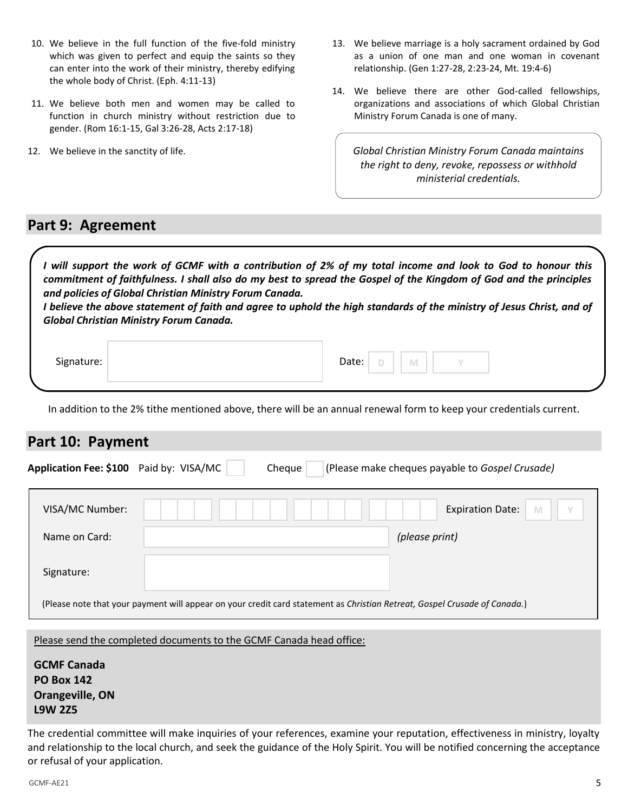- 10. We believe in the full function of the five-fold ministry which was given to perfect and equip the saints so they can enter into the work of their ministry, thereby edifying the whole body of Christ. (Eph. 4:11-13)
- 11. We believe both men and women may be called to function in church ministry without restriction due to gender. (Rom 16:1-15, Gal 3:26-28, Acts 2:17-18)
- 12. We believe in the sanctity of life.
- 13. We believe marriage is a holy sacrament ordained by God as a union of one man and one woman in covenant relationship. (Gen 1:27-28, 2:23-24, Mt. 19:4-6)
- 14. We believe there are other God-called fellowships, organizations and associations of which Global Christian Ministry Forum Canada is one of many.

*Global Christian Ministry Forum Canada maintains the right to deny, revoke, repossess or withhold ministerial credentials.*

### **Part 9: Agreement**

 $\overline{\phantom{a}}$ 

*I will support the work of GCMF with a contribution of 2% of my total income and look to God to honour this commitment of faithfulness. I shall also do my best to spread the Gospel of the Kingdom of God and the principles and policies of Global Christian Ministry Forum Canada.*

*I believe the above statement of faith and agree to uphold the high standards of the ministry of Jesus Christ, and of Global Christian Ministry Forum Canada.*

| Signature: | Date: | <b>COLL</b> | M |  |  |
|------------|-------|-------------|---|--|--|
|            |       |             |   |  |  |

In addition to the 2% tithe mentioned above, there will be an annual renewal form to keep your credentials current.

### **Part 10: Payment**

| Application Fee: \$100 Paid by: VISA/MC | Cheque                                                                                                                    | (Please make cheques payable to Gospel Crusade) |
|-----------------------------------------|---------------------------------------------------------------------------------------------------------------------------|-------------------------------------------------|
| VISA/MC Number:                         |                                                                                                                           | <b>Expiration Date:</b>                         |
| Name on Card:                           |                                                                                                                           | (please print)                                  |
| Signature:                              |                                                                                                                           |                                                 |
|                                         | (Please note that your payment will appear on your credit card statement as Christian Retreat, Gospel Crusade of Canada.) |                                                 |

#### Please send the completed documents to the GCMF Canada head office:

The credential committee will make inquiries of your references, examine your reputation, effectiveness in ministry, loyalty and relationship to the local church, and seek the guidance of the Holy Spirit. You will be notified concerning the acceptance or refusal of your application.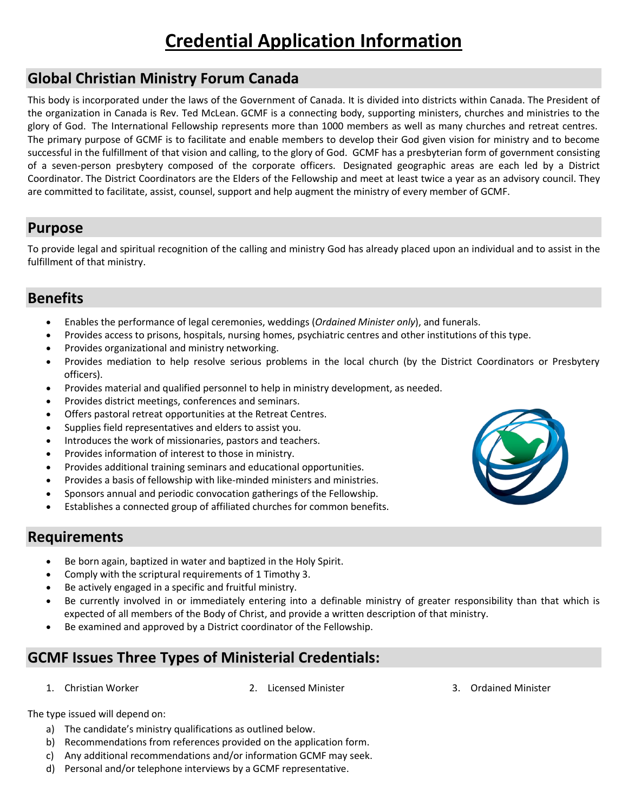# **Credential Application Information**

### **Global Christian Ministry Forum Canada**

This body is incorporated under the laws of the Government of Canada. It is divided into districts within Canada. The President of the organization in Canada is Rev. Ted McLean. GCMF is a connecting body, supporting ministers, churches and ministries to the glory of God. The International Fellowship represents more than 1000 members as well as many churches and retreat centres. The primary purpose of GCMF is to facilitate and enable members to develop their God given vision for ministry and to become successful in the fulfillment of that vision and calling, to the glory of God. GCMF has a presbyterian form of government consisting of a seven-person presbytery composed of the corporate officers. Designated geographic areas are each led by a District Coordinator. The District Coordinators are the Elders of the Fellowship and meet at least twice a year as an advisory council. They are committed to facilitate, assist, counsel, support and help augment the ministry of every member of GCMF.

### **Purpose**

To provide legal and spiritual recognition of the calling and ministry God has already placed upon an individual and to assist in the fulfillment of that ministry.

### **Benefits**

- Enables the performance of legal ceremonies, weddings (*Ordained Minister only*), and funerals.
- Provides access to prisons, hospitals, nursing homes, psychiatric centres and other institutions of this type.
- Provides organizational and ministry networking.
- Provides mediation to help resolve serious problems in the local church (by the District Coordinators or Presbytery officers).
- Provides material and qualified personnel to help in ministry development, as needed.
- Provides district meetings, conferences and seminars.
- Offers pastoral retreat opportunities at the Retreat Centres.
- Supplies field representatives and elders to assist you.
- Introduces the work of missionaries, pastors and teachers.
- Provides information of interest to those in ministry.
- Provides additional training seminars and educational opportunities.
- Provides a basis of fellowship with like-minded ministers and ministries.
- Sponsors annual and periodic convocation gatherings of the Fellowship.
- Establishes a connected group of affiliated churches for common benefits.



### **Requirements**

- Be born again, baptized in water and baptized in the Holy Spirit.
- Comply with the scriptural requirements of 1 Timothy 3.
- Be actively engaged in a specific and fruitful ministry.
- Be currently involved in or immediately entering into a definable ministry of greater responsibility than that which is expected of all members of the Body of Christ, and provide a written description of that ministry.
- Be examined and approved by a District coordinator of the Fellowship.

## **GCMF Issues Three Types of Ministerial Credentials:**

- 
- 1. Christian Worker 2. Licensed Minister 3. Ordained Minister
	-

The type issued will depend on:

- a) The candidate's ministry qualifications as outlined below.
- b) Recommendations from references provided on the application form.
- c) Any additional recommendations and/or information GCMF may seek.
- d) Personal and/or telephone interviews by a GCMF representative.